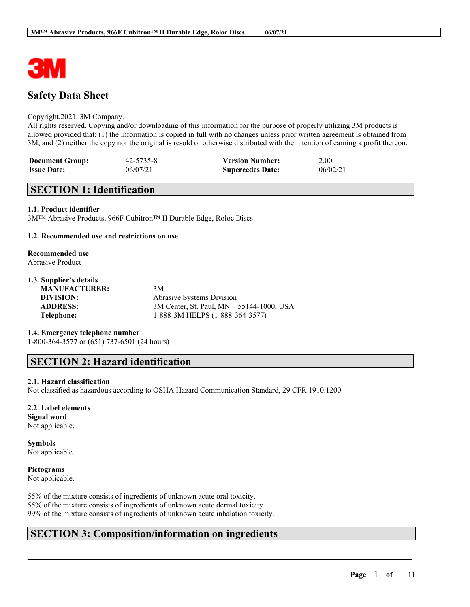

# **Safety Data Sheet**

### Copyright,2021, 3M Company.

All rights reserved. Copying and/or downloading of this information for the purpose of properly utilizing 3M products is allowed provided that: (1) the information is copied in full with no changes unless prior written agreement is obtained from 3M, and (2) neither the copy nor the original is resold or otherwise distributed with the intention of earning a profit thereon.

| <b>Document Group:</b> | 42-5735-8 | <b>Version Number:</b>  | 2.00     |
|------------------------|-----------|-------------------------|----------|
| <b>Issue Date:</b>     | 06/07/21  | <b>Supercedes Date:</b> | 06/02/21 |

# **SECTION 1: Identification**

## **1.1. Product identifier**

3M™ Abrasive Products, 966F Cubitron™ II Durable Edge, Roloc Discs

### **1.2. Recommended use and restrictions on use**

# **Recommended use**

Abrasive Product

## **1.3. Supplier's details**

**MANUFACTURER:** 3M

**DIVISION:** Abrasive Systems Division **ADDRESS:** 3M Center, St. Paul, MN 55144-1000, USA **Telephone:** 1-888-3M HELPS (1-888-364-3577)

 $\mathcal{L}_\mathcal{L} = \mathcal{L}_\mathcal{L} = \mathcal{L}_\mathcal{L} = \mathcal{L}_\mathcal{L} = \mathcal{L}_\mathcal{L} = \mathcal{L}_\mathcal{L} = \mathcal{L}_\mathcal{L} = \mathcal{L}_\mathcal{L} = \mathcal{L}_\mathcal{L} = \mathcal{L}_\mathcal{L} = \mathcal{L}_\mathcal{L} = \mathcal{L}_\mathcal{L} = \mathcal{L}_\mathcal{L} = \mathcal{L}_\mathcal{L} = \mathcal{L}_\mathcal{L} = \mathcal{L}_\mathcal{L} = \mathcal{L}_\mathcal{L}$ 

### **1.4. Emergency telephone number**

1-800-364-3577 or (651) 737-6501 (24 hours)

## **SECTION 2: Hazard identification**

### **2.1. Hazard classification**

Not classified as hazardous according to OSHA Hazard Communication Standard, 29 CFR 1910.1200.

#### **2.2. Label elements Signal word**

Not applicable.

#### **Symbols** Not applicable.

# **Pictograms**

Not applicable.

55% of the mixture consists of ingredients of unknown acute oral toxicity. 55% of the mixture consists of ingredients of unknown acute dermal toxicity. 99% of the mixture consists of ingredients of unknown acute inhalation toxicity.

# **SECTION 3: Composition/information on ingredients**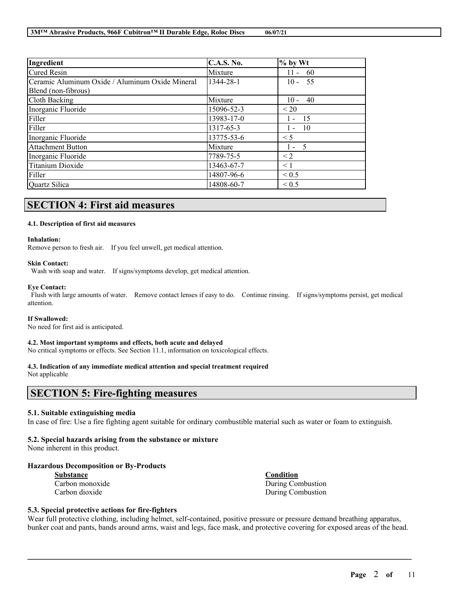| Ingredient                                      | <b>C.A.S. No.</b> | $%$ by Wt      |
|-------------------------------------------------|-------------------|----------------|
| <b>Cured Resin</b>                              | Mixture           | $11 - 60$      |
| Ceramic Aluminum Oxide / Aluminum Oxide Mineral | 1344-28-1         | $10 - 55$      |
| Blend (non-fibrous)                             |                   |                |
| Cloth Backing                                   | Mixture           | - 40<br>$10 -$ |
| Inorganic Fluoride                              | 15096-52-3        | < 20           |
| Filler                                          | 13983-17-0        | -15<br>$1 -$   |
| Filler                                          | 1317-65-3         | 10<br>$1 -$    |
| Inorganic Fluoride                              | 13775-53-6        | $\leq 5$       |
| <b>Attachment Button</b>                        | Mixture           | $1 - 5$        |
| Inorganic Fluoride                              | 7789-75-5         | $\leq$ 2       |
| Titanium Dioxide                                | 13463-67-7        | < 1            |
| Filler                                          | 14807-96-6        | ${}_{0.5}$     |
| Quartz Silica                                   | 14808-60-7        | ${}_{0.5}$     |

## **SECTION 4: First aid measures**

#### **4.1. Description of first aid measures**

#### **Inhalation:**

Remove person to fresh air. If you feel unwell, get medical attention.

#### **Skin Contact:**

Wash with soap and water. If signs/symptoms develop, get medical attention.

#### **Eye Contact:**

Flush with large amounts of water. Remove contact lenses if easy to do. Continue rinsing. If signs/symptoms persist, get medical attention.

#### **If Swallowed:**

No need for first aid is anticipated.

#### **4.2. Most important symptoms and effects, both acute and delayed**

No critical symptoms or effects. See Section 11.1, information on toxicological effects.

#### **4.3. Indication of any immediate medical attention and special treatment required**

Not applicable

# **SECTION 5: Fire-fighting measures**

#### **5.1. Suitable extinguishing media**

In case of fire: Use a fire fighting agent suitable for ordinary combustible material such as water or foam to extinguish.

### **5.2. Special hazards arising from the substance or mixture**

None inherent in this product.

#### **Hazardous Decomposition or By-Products**

| <b>Substance</b> |
|------------------|
| Carbon monoxide  |
| Carbon dioxide   |

**Substance Condition** e During Combustion During Combustion

## **5.3. Special protective actions for fire-fighters**

Wear full protective clothing, including helmet, self-contained, positive pressure or pressure demand breathing apparatus, bunker coat and pants, bands around arms, waist and legs, face mask, and protective covering for exposed areas of the head.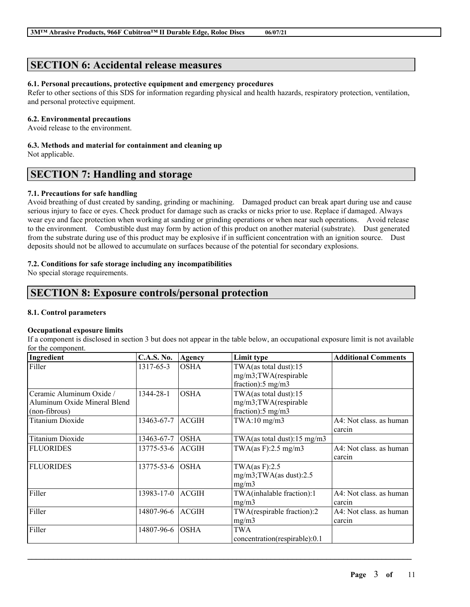# **SECTION 6: Accidental release measures**

## **6.1. Personal precautions, protective equipment and emergency procedures**

Refer to other sections of this SDS for information regarding physical and health hazards, respiratory protection, ventilation, and personal protective equipment.

## **6.2. Environmental precautions**

Avoid release to the environment.

# **6.3. Methods and material for containment and cleaning up**

Not applicable.

# **SECTION 7: Handling and storage**

## **7.1. Precautions for safe handling**

Avoid breathing of dust created by sanding, grinding or machining. Damaged product can break apart during use and cause serious injury to face or eyes. Check product for damage such as cracks or nicks prior to use. Replace if damaged. Always wear eye and face protection when working at sanding or grinding operations or when near such operations. Avoid release to the environment. Combustible dust may form by action of this product on another material (substrate). Dust generated from the substrate during use of this product may be explosive if in sufficient concentration with an ignition source. Dust deposits should not be allowed to accumulate on surfaces because of the potential for secondary explosions.

## **7.2. Conditions for safe storage including any incompatibilities**

No special storage requirements.

# **SECTION 8: Exposure controls/personal protection**

## **8.1. Control parameters**

### **Occupational exposure limits**

If a component is disclosed in section 3 but does not appear in the table below, an occupational exposure limit is not available for the component.

| Ingredient                                                                | <b>C.A.S. No.</b> | Agency       | Limit type                                                                     | <b>Additional Comments</b>        |
|---------------------------------------------------------------------------|-------------------|--------------|--------------------------------------------------------------------------------|-----------------------------------|
| Filler                                                                    | 1317-65-3         | <b>OSHA</b>  | TWA(as total dust):15<br>mg/m3;TWA(respirable<br>fraction): $5 \text{ mg/m}$ 3 |                                   |
| Ceramic Aluminum Oxide /<br>Aluminum Oxide Mineral Blend<br>(non-fibrous) | 1344-28-1         | <b>OSHA</b>  | TWA(as total dust):15<br>mg/m3;TWA(respirable<br>fraction): $5 \text{ mg/m}$ 3 |                                   |
| <b>Titanium Dioxide</b>                                                   | 13463-67-7        | <b>ACGIH</b> | $TWA:10$ mg/m $3$                                                              | A4: Not class. as human<br>carcin |
| <b>Titanium Dioxide</b>                                                   | 13463-67-7        | <b>OSHA</b>  | TWA(as total dust):15 mg/m3                                                    |                                   |
| <b>FLUORIDES</b>                                                          | 13775-53-6        | <b>ACGIH</b> | TWA(as F):2.5 mg/m3                                                            | A4: Not class, as human<br>carcin |
| <b>FLUORIDES</b>                                                          | 13775-53-6        | <b>OSHA</b>  | TWA $(as F):2.5$<br>$mg/m3$ ; TWA(as dust): 2.5<br>mg/m3                       |                                   |
| Filler                                                                    | 13983-17-0        | <b>ACGIH</b> | TWA(inhalable fraction):1<br>mg/m3                                             | A4: Not class. as human<br>carcin |
| Filler                                                                    | 14807-96-6        | <b>ACGIH</b> | TWA(respirable fraction):2<br>mg/m3                                            | A4: Not class. as human<br>carcin |
| Filler                                                                    | 14807-96-6        | <b>OSHA</b>  | <b>TWA</b><br>concentration(respirable):0.1                                    |                                   |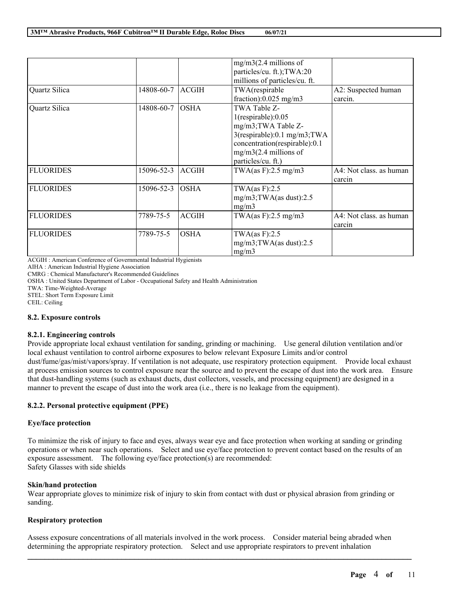|                  |            |              | $mg/m3(2.4$ millions of       |                         |
|------------------|------------|--------------|-------------------------------|-------------------------|
|                  |            |              | particles/cu. ft.); TWA:20    |                         |
|                  |            |              | millions of particles/cu. ft. |                         |
| Quartz Silica    | 14808-60-7 | <b>ACGIH</b> | TWA(respirable                | A2: Suspected human     |
|                  |            |              | fraction): $0.025$ mg/m3      | carcin.                 |
| Quartz Silica    | 14808-60-7 | <b>OSHA</b>  | TWA Table Z-                  |                         |
|                  |            |              | $1$ (respirable): $0.05$      |                         |
|                  |            |              | mg/m3;TWA Table Z-            |                         |
|                  |            |              | 3(respirable):0.1 mg/m3;TWA   |                         |
|                  |            |              | concentration(respirable):0.1 |                         |
|                  |            |              | $mg/m3(2.4$ millions of       |                         |
|                  |            |              | particles/cu. ft.)            |                         |
| <b>FLUORIDES</b> | 15096-52-3 | <b>ACGIH</b> | TWA $(as F): 2.5 mg/m3$       | A4: Not class. as human |
|                  |            |              |                               | carcin                  |
| <b>FLUORIDES</b> | 15096-52-3 | <b>OSHA</b>  | TWA $(as F):2.5$              |                         |
|                  |            |              | $mg/m3$ ; TWA(as dust): 2.5   |                         |
|                  |            |              | mg/m3                         |                         |
| <b>FLUORIDES</b> | 7789-75-5  | <b>ACGIH</b> | TWA(as F):2.5 mg/m3           | A4: Not class, as human |
|                  |            |              |                               | carcin                  |
| <b>FLUORIDES</b> | 7789-75-5  | <b>OSHA</b>  | TWA $(as F):2.5$              |                         |
|                  |            |              | $mg/m3$ ; TWA(as dust): 2.5   |                         |
|                  |            |              | mg/m3                         |                         |

ACGIH : American Conference of Governmental Industrial Hygienists

AIHA : American Industrial Hygiene Association

CMRG : Chemical Manufacturer's Recommended Guidelines

OSHA : United States Department of Labor - Occupational Safety and Health Administration

TWA: Time-Weighted-Average

STEL: Short Term Exposure Limit

CEIL: Ceiling

### **8.2. Exposure controls**

### **8.2.1. Engineering controls**

Provide appropriate local exhaust ventilation for sanding, grinding or machining. Use general dilution ventilation and/or local exhaust ventilation to control airborne exposures to below relevant Exposure Limits and/or control dust/fume/gas/mist/vapors/spray. If ventilation is not adequate, use respiratory protection equipment. Provide local exhaust at process emission sources to control exposure near the source and to prevent the escape of dust into the work area. Ensure that dust-handling systems (such as exhaust ducts, dust collectors, vessels, and processing equipment) are designed in a manner to prevent the escape of dust into the work area (i.e., there is no leakage from the equipment).

## **8.2.2. Personal protective equipment (PPE)**

### **Eye/face protection**

To minimize the risk of injury to face and eyes, always wear eye and face protection when working at sanding or grinding operations or when near such operations. Select and use eye/face protection to prevent contact based on the results of an exposure assessment. The following eye/face protection(s) are recommended: Safety Glasses with side shields

## **Skin/hand protection**

Wear appropriate gloves to minimize risk of injury to skin from contact with dust or physical abrasion from grinding or sanding.

### **Respiratory protection**

Assess exposure concentrations of all materials involved in the work process. Consider material being abraded when determining the appropriate respiratory protection. Select and use appropriate respirators to prevent inhalation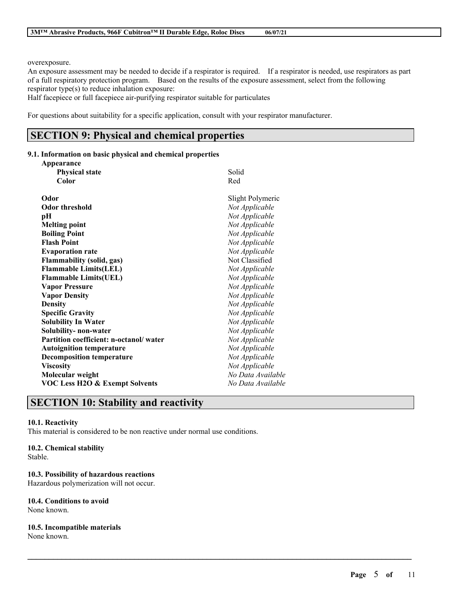overexposure.

An exposure assessment may be needed to decide if a respirator is required. If a respirator is needed, use respirators as part of a full respiratory protection program. Based on the results of the exposure assessment, select from the following respirator type(s) to reduce inhalation exposure:

 $\mathcal{L}_\mathcal{L} = \mathcal{L}_\mathcal{L} = \mathcal{L}_\mathcal{L} = \mathcal{L}_\mathcal{L} = \mathcal{L}_\mathcal{L} = \mathcal{L}_\mathcal{L} = \mathcal{L}_\mathcal{L} = \mathcal{L}_\mathcal{L} = \mathcal{L}_\mathcal{L} = \mathcal{L}_\mathcal{L} = \mathcal{L}_\mathcal{L} = \mathcal{L}_\mathcal{L} = \mathcal{L}_\mathcal{L} = \mathcal{L}_\mathcal{L} = \mathcal{L}_\mathcal{L} = \mathcal{L}_\mathcal{L} = \mathcal{L}_\mathcal{L}$ 

Half facepiece or full facepiece air-purifying respirator suitable for particulates

For questions about suitability for a specific application, consult with your respirator manufacturer.

# **SECTION 9: Physical and chemical properties**

## **9.1. Information on basic physical and chemical properties**

| Appearance                                |                   |
|-------------------------------------------|-------------------|
| <b>Physical state</b>                     | Solid             |
| Color                                     | Red               |
| Odor                                      | Slight Polymeric  |
| <b>Odor threshold</b>                     | Not Applicable    |
| pН                                        | Not Applicable    |
| <b>Melting point</b>                      | Not Applicable    |
| <b>Boiling Point</b>                      | Not Applicable    |
| <b>Flash Point</b>                        | Not Applicable    |
| <b>Evaporation rate</b>                   | Not Applicable    |
| Flammability (solid, gas)                 | Not Classified    |
| <b>Flammable Limits(LEL)</b>              | Not Applicable    |
| <b>Flammable Limits(UEL)</b>              | Not Applicable    |
| <b>Vapor Pressure</b>                     | Not Applicable    |
| <b>Vapor Density</b>                      | Not Applicable    |
| <b>Density</b>                            | Not Applicable    |
| <b>Specific Gravity</b>                   | Not Applicable    |
| <b>Solubility In Water</b>                | Not Applicable    |
| Solubility-non-water                      | Not Applicable    |
| Partition coefficient: n-octanol/water    | Not Applicable    |
| <b>Autoignition temperature</b>           | Not Applicable    |
| <b>Decomposition temperature</b>          | Not Applicable    |
| <b>Viscosity</b>                          | Not Applicable    |
| Molecular weight                          | No Data Available |
| <b>VOC Less H2O &amp; Exempt Solvents</b> | No Data Available |
|                                           |                   |

# **SECTION 10: Stability and reactivity**

### **10.1. Reactivity**

This material is considered to be non reactive under normal use conditions.

## **10.2. Chemical stability**

Stable.

## **10.3. Possibility of hazardous reactions**

Hazardous polymerization will not occur.

## **10.4. Conditions to avoid**

None known.

## **10.5. Incompatible materials**

None known.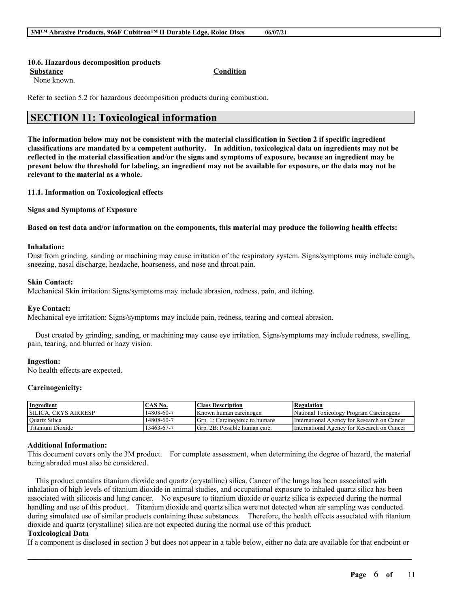#### **10.6. Hazardous decomposition products**

**Substance Condition**

None known.

Refer to section 5.2 for hazardous decomposition products during combustion.

# **SECTION 11: Toxicological information**

The information below may not be consistent with the material classification in Section 2 if specific ingredient **classifications are mandated by a competent authority. In addition, toxicological data on ingredients may not be** reflected in the material classification and/or the signs and symptoms of exposure, because an ingredient may be present below the threshold for labeling, an ingredient may not be available for exposure, or the data may not be **relevant to the material as a whole.**

**11.1. Information on Toxicological effects**

**Signs and Symptoms of Exposure**

Based on test data and/or information on the components, this material may produce the following health effects:

#### **Inhalation:**

Dust from grinding, sanding or machining may cause irritation of the respiratory system. Signs/symptoms may include cough, sneezing, nasal discharge, headache, hoarseness, and nose and throat pain.

## **Skin Contact:**

Mechanical Skin irritation: Signs/symptoms may include abrasion, redness, pain, and itching.

#### **Eye Contact:**

Mechanical eye irritation: Signs/symptoms may include pain, redness, tearing and corneal abrasion.

Dust created by grinding, sanding, or machining may cause eye irritation. Signs/symptoms may include redness, swelling, pain, tearing, and blurred or hazy vision.

#### **Ingestion:**

No health effects are expected.

### **Carcinogenicity:**

| Ingredient                  | TAS No.    | <b>Class Description</b>       | Regulation                                  |
|-----------------------------|------------|--------------------------------|---------------------------------------------|
| <b>SILICA. CRYS AIRRESP</b> | 14808-60-7 | Known human carcinogen         | National Toxicology Program Carcinogens     |
| Quartz Silica               | 14808-60-7 | Grp. 1: Carcinogenic to humans | International Agency for Research on Cancer |
| Titanium Dioxide            | 13463-67-7 | Grp. 2B: Possible human carc.  | International Agency for Research on Cancer |

### **Additional Information:**

This document covers only the 3M product. For complete assessment, when determining the degree of hazard, the material being abraded must also be considered.

This product contains titanium dioxide and quartz (crystalline) silica. Cancer of the lungs has been associated with inhalation of high levels of titanium dioxide in animal studies, and occupational exposure to inhaled quartz silica has been associated with silicosis and lung cancer. No exposure to titanium dioxide or quartz silica is expected during the normal handling and use of this product. Titanium dioxide and quartz silica were not detected when air sampling was conducted during simulated use of similar products containing these substances. Therefore, the health effects associated with titanium dioxide and quartz (crystalline) silica are not expected during the normal use of this product.

#### **Toxicological Data**

 $\mathcal{L}_\mathcal{L} = \mathcal{L}_\mathcal{L} = \mathcal{L}_\mathcal{L} = \mathcal{L}_\mathcal{L} = \mathcal{L}_\mathcal{L} = \mathcal{L}_\mathcal{L} = \mathcal{L}_\mathcal{L} = \mathcal{L}_\mathcal{L} = \mathcal{L}_\mathcal{L} = \mathcal{L}_\mathcal{L} = \mathcal{L}_\mathcal{L} = \mathcal{L}_\mathcal{L} = \mathcal{L}_\mathcal{L} = \mathcal{L}_\mathcal{L} = \mathcal{L}_\mathcal{L} = \mathcal{L}_\mathcal{L} = \mathcal{L}_\mathcal{L}$ If a component is disclosed in section 3 but does not appear in a table below, either no data are available for that endpoint or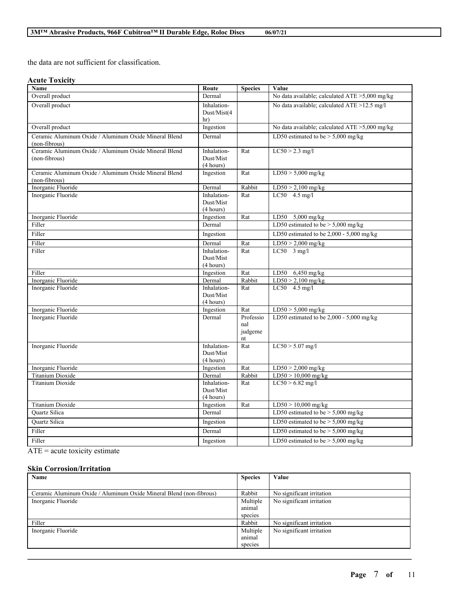the data are not sufficient for classification.

## **Acute Toxicity**

| Name                                                                   | Route                                 | <b>Species</b>                    | Value                                          |
|------------------------------------------------------------------------|---------------------------------------|-----------------------------------|------------------------------------------------|
| Overall product                                                        | Dermal                                |                                   | No data available; calculated ATE >5,000 mg/kg |
| Overall product                                                        | Inhalation-<br>Dust/Mist(4<br>hr)     |                                   | No data available; calculated ATE >12.5 mg/l   |
| Overall product                                                        | Ingestion                             |                                   | No data available; calculated ATE >5,000 mg/kg |
| Ceramic Aluminum Oxide / Aluminum Oxide Mineral Blend<br>(non-fibrous) | Dermal                                |                                   | LD50 estimated to be $> 5,000$ mg/kg           |
| Ceramic Aluminum Oxide / Aluminum Oxide Mineral Blend<br>(non-fibrous) | Inhalation-<br>Dust/Mist<br>(4 hours) | Rat                               | $LC50 > 2.3$ mg/l                              |
| Ceramic Aluminum Oxide / Aluminum Oxide Mineral Blend<br>(non-fibrous) | Ingestion                             | Rat                               | $LD50 > 5,000$ mg/kg                           |
| Inorganic Fluoride                                                     | Dermal                                | Rabbit                            | $LD50 > 2,100$ mg/kg                           |
| Inorganic Fluoride                                                     | Inhalation-<br>Dust/Mist<br>(4 hours) | Rat                               | $LC50$ 4.5 mg/l                                |
| Inorganic Fluoride                                                     | Ingestion                             | Rat                               | LD50 5,000 mg/kg                               |
| Filler                                                                 | Dermal                                |                                   | LD50 estimated to be $> 5,000$ mg/kg           |
| Filler                                                                 | Ingestion                             |                                   | LD50 estimated to be 2,000 - 5,000 mg/kg       |
| Filler                                                                 | Dermal                                | Rat                               | $LD50 > 2,000$ mg/kg                           |
| Filler                                                                 | Inhalation-<br>Dust/Mist<br>(4 hours) | Rat                               | $LC50$ 3 mg/l                                  |
| Filler                                                                 | Ingestion                             | Rat                               | LD50 6,450 mg/kg                               |
| Inorganic Fluoride                                                     | Dermal                                | Rabbit                            | $LD50 > 2,100$ mg/kg                           |
| Inorganic Fluoride                                                     | Inhalation-<br>Dust/Mist<br>(4 hours) | Rat                               | $LC50$ 4.5 mg/l                                |
| Inorganic Fluoride                                                     | Ingestion                             | Rat                               | $LD50 > 5,000$ mg/kg                           |
| Inorganic Fluoride                                                     | Dermal                                | Professio<br>nal<br>judgeme<br>nt | LD50 estimated to be 2,000 - 5,000 mg/kg       |
| Inorganic Fluoride                                                     | Inhalation-<br>Dust/Mist<br>(4 hours) | Rat                               | $LC50 > 5.07$ mg/l                             |
| Inorganic Fluoride                                                     | Ingestion                             | Rat                               | $LD50 > 2,000$ mg/kg                           |
| Titanium Dioxide                                                       | Dermal                                | Rabbit                            | $LD50 > 10,000$ mg/kg                          |
| Titanium Dioxide                                                       | Inhalation-<br>Dust/Mist<br>(4 hours) | Rat                               | $LC50 > 6.82$ mg/l                             |
| Titanium Dioxide                                                       | Ingestion                             | Rat                               | $LD50 > 10,000$ mg/kg                          |
| Quartz Silica                                                          | Dermal                                |                                   | LD50 estimated to be $>$ 5,000 mg/kg           |
| Quartz Silica                                                          | Ingestion                             |                                   | LD50 estimated to be $>$ 5,000 mg/kg           |
| Filler                                                                 | Dermal                                |                                   | LD50 estimated to be $> 5,000$ mg/kg           |
| Filler                                                                 | Ingestion                             |                                   | LD50 estimated to be $>$ 5,000 mg/kg           |

ATE = acute toxicity estimate

## **Skin Corrosion/Irritation**

| Name                                                                | <b>Species</b> | Value                     |
|---------------------------------------------------------------------|----------------|---------------------------|
|                                                                     |                |                           |
| Ceramic Aluminum Oxide / Aluminum Oxide Mineral Blend (non-fibrous) | Rabbit         | No significant irritation |
| Inorganic Fluoride                                                  | Multiple       | No significant irritation |
|                                                                     | animal         |                           |
|                                                                     | species        |                           |
| Filler                                                              | Rabbit         | No significant irritation |
| Inorganic Fluoride                                                  | Multiple       | No significant irritation |
|                                                                     | animal         |                           |
|                                                                     | species        |                           |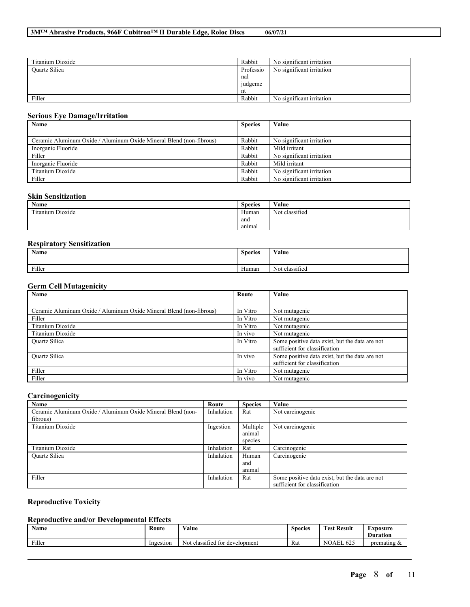| Titanium Dioxide | Rabbit    | No significant irritation |
|------------------|-----------|---------------------------|
| Quartz Silica    | Professio | No significant irritation |
|                  | nal       |                           |
|                  | judgeme   |                           |
|                  | nt        |                           |
| Filler           | Rabbit    | No significant irritation |

## **Serious Eye Damage/Irritation**

| Name                                                                | <b>Species</b> | Value                     |
|---------------------------------------------------------------------|----------------|---------------------------|
|                                                                     |                |                           |
| Ceramic Aluminum Oxide / Aluminum Oxide Mineral Blend (non-fibrous) | Rabbit         | No significant irritation |
| Inorganic Fluoride                                                  | Rabbit         | Mild irritant             |
| Filler                                                              | Rabbit         | No significant irritation |
| Inorganic Fluoride                                                  | Rabbit         | Mild irritant             |
| Titanium Dioxide                                                    | Rabbit         | No significant irritation |
| Filler                                                              | Rabbit         | No significant irritation |

#### **Skin Sensitization**

| Name                           | $\sim$<br><b>Species</b> | Value                                     |
|--------------------------------|--------------------------|-------------------------------------------|
| itanium Dioxide<br>contract of | Human                    | $\cdot$<br>$\mathbf{X}$<br>Not classified |
|                                | ano                      |                                           |
|                                | anımal                   |                                           |

## **Respiratory Sensitization**

|        | <b>Name</b> | <b>Species</b>     | Value                            |
|--------|-------------|--------------------|----------------------------------|
| Filler |             | <b>YY</b><br>Human | $\cdot$ $\sim$<br>Not classified |

#### **Germ Cell Mutagenicity**

| $\sim$<br>Name                                                      | Route    | Value                                          |
|---------------------------------------------------------------------|----------|------------------------------------------------|
|                                                                     |          |                                                |
| Ceramic Aluminum Oxide / Aluminum Oxide Mineral Blend (non-fibrous) | In Vitro | Not mutagenic                                  |
| Filler                                                              | In Vitro | Not mutagenic                                  |
| Titanium Dioxide                                                    | In Vitro | Not mutagenic                                  |
| Titanium Dioxide                                                    | In vivo  | Not mutagenic                                  |
| <b>Ouartz Silica</b>                                                | In Vitro | Some positive data exist, but the data are not |
|                                                                     |          | sufficient for classification                  |
| Quartz Silica                                                       | In vivo  | Some positive data exist, but the data are not |
|                                                                     |          | sufficient for classification                  |
| Filler                                                              | In Vitro | Not mutagenic                                  |
| Filler                                                              | In vivo  | Not mutagenic                                  |

## **Carcinogenicity**

| Name                                                        | Route      | <b>Species</b> | Value                                          |
|-------------------------------------------------------------|------------|----------------|------------------------------------------------|
| Ceramic Aluminum Oxide / Aluminum Oxide Mineral Blend (non- | Inhalation | Rat            | Not carcinogenic                               |
| fibrous)                                                    |            |                |                                                |
| Titanium Dioxide                                            | Ingestion  | Multiple       | Not carcinogenic                               |
|                                                             |            | animal         |                                                |
|                                                             |            | species        |                                                |
| Titanium Dioxide                                            | Inhalation | Rat            | Carcinogenic                                   |
| Quartz Silica                                               | Inhalation | Human          | Carcinogenic                                   |
|                                                             |            | and            |                                                |
|                                                             |            | animal         |                                                |
| Filler                                                      | Inhalation | Rat            | Some positive data exist, but the data are not |
|                                                             |            |                | sufficient for classification                  |

## **Reproductive Toxicity**

## **Reproductive and/or Developmental Effects**

| <b>Name</b> | Route<br>. | <b>WY 3</b><br>⁄ alue<br>.              | $\sim$<br><b>Species</b> | <b>Result</b><br><b>CONTINUES</b><br>l est | -<br>Exposure<br><b>Duration</b> |
|-------------|------------|-----------------------------------------|--------------------------|--------------------------------------------|----------------------------------|
| Filler      | Ingestion  | Not<br>classified<br>tor<br>development | Rat                      | $\sqrt{2}$<br><b>NOAEL</b><br>02.          | premating                        |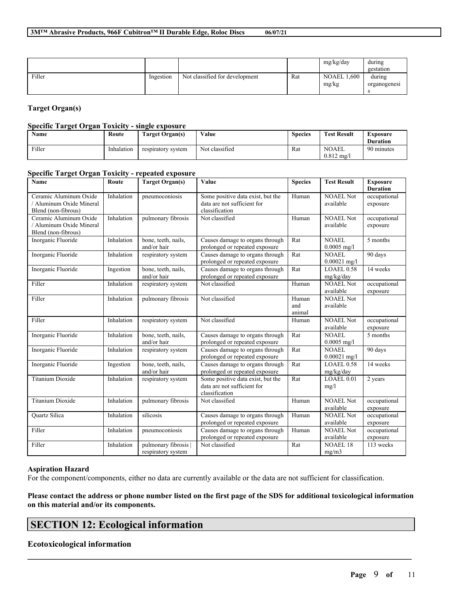|        |           |                                |     | mg/kg/day            | during       |
|--------|-----------|--------------------------------|-----|----------------------|--------------|
|        |           |                                |     |                      | gestation    |
| Filler | Ingestion | Not classified for development | Rat | .600<br><b>NOAEL</b> | during       |
|        |           |                                |     | mg/kg                | organogenesi |
|        |           |                                |     |                      |              |

## **Target Organ(s)**

## **Specific Target Organ Toxicity - single exposure**

| <b>Name</b> | Route      | <b>Target Organ(s)</b> | Value          | <b>Species</b> | <b>Test Result</b>                    | Exposure<br><b>Duration</b> |
|-------------|------------|------------------------|----------------|----------------|---------------------------------------|-----------------------------|
| Filler      | Inhalation | respiratory system     | Not classified | Rat            | <b>NOAEL</b><br>$0.812 \text{ m}$ g/j | 90 minutes                  |

### **Specific Target Organ Toxicity - repeated exposure**

| Name                                                                      | Route      | <b>Target Organ(s)</b>                   | Value                                                                              | <b>Species</b>         | <b>Test Result</b>             | <b>Exposure</b><br><b>Duration</b> |
|---------------------------------------------------------------------------|------------|------------------------------------------|------------------------------------------------------------------------------------|------------------------|--------------------------------|------------------------------------|
| Ceramic Aluminum Oxide<br>/ Aluminum Oxide Mineral<br>Blend (non-fibrous) | Inhalation | pneumoconiosis                           | Some positive data exist, but the<br>data are not sufficient for<br>classification | Human                  | <b>NOAEL Not</b><br>available  | occupational<br>exposure           |
| Ceramic Aluminum Oxide<br>/ Aluminum Oxide Mineral<br>Blend (non-fibrous) | Inhalation | pulmonary fibrosis                       | Not classified                                                                     | Human                  | <b>NOAEL Not</b><br>available  | occupational<br>exposure           |
| Inorganic Fluoride                                                        | Inhalation | bone, teeth, nails,<br>and/or hair       | Causes damage to organs through<br>prolonged or repeated exposure                  | Rat                    | <b>NOAEL</b><br>$0.0005$ mg/l  | 5 months                           |
| Inorganic Fluoride                                                        | Inhalation | respiratory system                       | Causes damage to organs through<br>prolonged or repeated exposure                  | Rat                    | NOAEL<br>$0.00021$ mg/l        | 90 days                            |
| Inorganic Fluoride                                                        | Ingestion  | bone, teeth, nails,<br>and/or hair       | Causes damage to organs through<br>prolonged or repeated exposure                  | Rat                    | LOAEL 0.58<br>mg/kg/day        | 14 weeks                           |
| Filler                                                                    | Inhalation | respiratory system                       | Not classified                                                                     | Human                  | <b>NOAEL Not</b><br>available  | occupational<br>exposure           |
| Filler                                                                    | Inhalation | pulmonary fibrosis                       | Not classified                                                                     | Human<br>and<br>animal | <b>NOAEL Not</b><br>available  |                                    |
| Filler                                                                    | Inhalation | respiratory system                       | Not classified                                                                     | Human                  | NOAEL Not<br>available         | occupational<br>exposure           |
| Inorganic Fluoride                                                        | Inhalation | bone, teeth, nails,<br>and/or hair       | Causes damage to organs through<br>prolonged or repeated exposure                  | Rat                    | <b>NOAEL</b><br>$0.0005$ mg/l  | 5 months                           |
| Inorganic Fluoride                                                        | Inhalation | respiratory system                       | Causes damage to organs through<br>prolonged or repeated exposure                  | Rat                    | <b>NOAEL</b><br>$0.00021$ mg/l | 90 days                            |
| Inorganic Fluoride                                                        | Ingestion  | bone, teeth, nails,<br>and/or hair       | Causes damage to organs through<br>prolonged or repeated exposure                  | Rat                    | LOAEL 0.58<br>mg/kg/day        | 14 weeks                           |
| <b>Titanium Dioxide</b>                                                   | Inhalation | respiratory system                       | Some positive data exist, but the<br>data are not sufficient for<br>classification | Rat                    | LOAEL 0.01<br>mg/l             | 2 years                            |
| <b>Titanium Dioxide</b>                                                   | Inhalation | pulmonary fibrosis                       | Not classified                                                                     | Human                  | <b>NOAEL Not</b><br>available  | occupational<br>exposure           |
| <b>Ouartz Silica</b>                                                      | Inhalation | silicosis                                | Causes damage to organs through<br>prolonged or repeated exposure                  | Human                  | <b>NOAEL Not</b><br>available  | occupational<br>exposure           |
| Filler                                                                    | Inhalation | pneumoconiosis                           | Causes damage to organs through<br>prolonged or repeated exposure                  | Human                  | <b>NOAEL Not</b><br>available  | occupational<br>exposure           |
| Filler                                                                    | Inhalation | pulmonary fibrosis<br>respiratory system | Not classified                                                                     | Rat                    | <b>NOAEL 18</b><br>me/m3       | 113 weeks                          |

## **Aspiration Hazard**

For the component/components, either no data are currently available or the data are not sufficient for classification.

## Please contact the address or phone number listed on the first page of the SDS for additional toxicological information **on this material and/or its components.**

 $\mathcal{L}_\mathcal{L} = \mathcal{L}_\mathcal{L} = \mathcal{L}_\mathcal{L} = \mathcal{L}_\mathcal{L} = \mathcal{L}_\mathcal{L} = \mathcal{L}_\mathcal{L} = \mathcal{L}_\mathcal{L} = \mathcal{L}_\mathcal{L} = \mathcal{L}_\mathcal{L} = \mathcal{L}_\mathcal{L} = \mathcal{L}_\mathcal{L} = \mathcal{L}_\mathcal{L} = \mathcal{L}_\mathcal{L} = \mathcal{L}_\mathcal{L} = \mathcal{L}_\mathcal{L} = \mathcal{L}_\mathcal{L} = \mathcal{L}_\mathcal{L}$ 

# **SECTION 12: Ecological information**

## **Ecotoxicological information**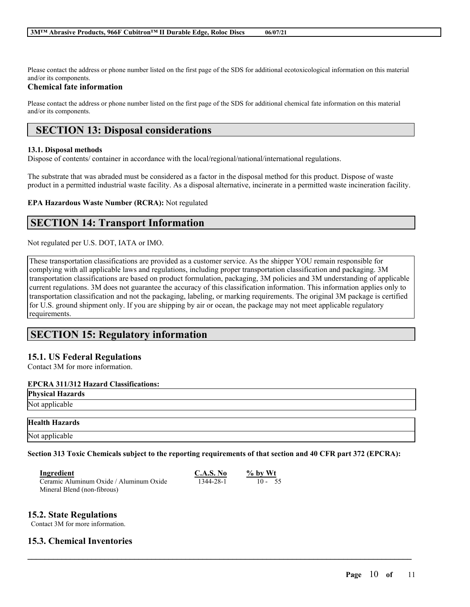Please contact the address or phone number listed on the first page of the SDS for additional ecotoxicological information on this material and/or its components.

## **Chemical fate information**

Please contact the address or phone number listed on the first page of the SDS for additional chemical fate information on this material and/or its components.

# **SECTION 13: Disposal considerations**

## **13.1. Disposal methods**

Dispose of contents/ container in accordance with the local/regional/national/international regulations.

The substrate that was abraded must be considered as a factor in the disposal method for this product. Dispose of waste product in a permitted industrial waste facility. As a disposal alternative, incinerate in a permitted waste incineration facility.

**EPA Hazardous Waste Number (RCRA):** Not regulated

# **SECTION 14: Transport Information**

Not regulated per U.S. DOT, IATA or IMO.

These transportation classifications are provided as a customer service. As the shipper YOU remain responsible for complying with all applicable laws and regulations, including proper transportation classification and packaging. 3M transportation classifications are based on product formulation, packaging, 3M policies and 3M understanding of applicable current regulations. 3M does not guarantee the accuracy of this classification information. This information applies only to transportation classification and not the packaging, labeling, or marking requirements. The original 3M package is certified for U.S. ground shipment only. If you are shipping by air or ocean, the package may not meet applicable regulatory requirements.

# **SECTION 15: Regulatory information**

## **15.1. US Federal Regulations**

Contact 3M for more information.

### **EPCRA 311/312 Hazard Classifications:**

**Physical Hazards**

# Not applicable

### **Health Hazards**

Not applicable

Section 313 Toxic Chemicals subject to the reporting requirements of that section and 40 CFR part 372 (EPCRA):

 $\mathcal{L}_\mathcal{L} = \mathcal{L}_\mathcal{L} = \mathcal{L}_\mathcal{L} = \mathcal{L}_\mathcal{L} = \mathcal{L}_\mathcal{L} = \mathcal{L}_\mathcal{L} = \mathcal{L}_\mathcal{L} = \mathcal{L}_\mathcal{L} = \mathcal{L}_\mathcal{L} = \mathcal{L}_\mathcal{L} = \mathcal{L}_\mathcal{L} = \mathcal{L}_\mathcal{L} = \mathcal{L}_\mathcal{L} = \mathcal{L}_\mathcal{L} = \mathcal{L}_\mathcal{L} = \mathcal{L}_\mathcal{L} = \mathcal{L}_\mathcal{L}$ 

| Ingredient                              | C.A.S. No | $%$ by Wt |
|-----------------------------------------|-----------|-----------|
| Ceramic Aluminum Oxide / Aluminum Oxide | 1344-28-1 | $10 - 55$ |
| Mineral Blend (non-fibrous)             |           |           |

## **15.2. State Regulations**

Contact 3M for more information.

## **15.3. Chemical Inventories**